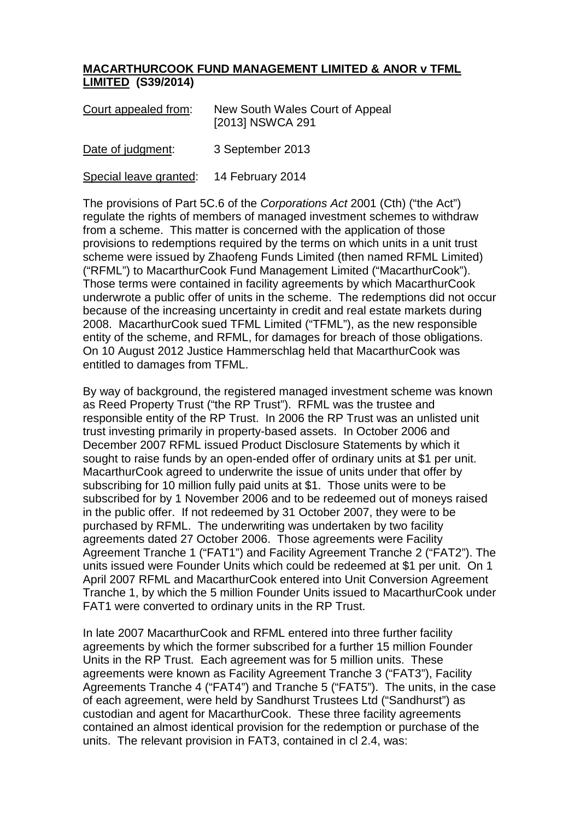## **MACARTHURCOOK FUND MANAGEMENT LIMITED & ANOR v TFML LIMITED (S39/2014)**

| Court appealed from: | New South Wales Court of Appeal<br>[2013] NSWCA 291 |
|----------------------|-----------------------------------------------------|
| Date of judgment:    | 3 September 2013                                    |

Special leave granted: 14 February 2014

The provisions of Part 5C.6 of the *Corporations Act* 2001 (Cth) ("the Act") regulate the rights of members of managed investment schemes to withdraw from a scheme. This matter is concerned with the application of those provisions to redemptions required by the terms on which units in a unit trust scheme were issued by Zhaofeng Funds Limited (then named RFML Limited) ("RFML") to MacarthurCook Fund Management Limited ("MacarthurCook"). Those terms were contained in facility agreements by which MacarthurCook underwrote a public offer of units in the scheme. The redemptions did not occur because of the increasing uncertainty in credit and real estate markets during 2008. MacarthurCook sued TFML Limited ("TFML"), as the new responsible entity of the scheme, and RFML, for damages for breach of those obligations. On 10 August 2012 Justice Hammerschlag held that MacarthurCook was entitled to damages from TFML.

By way of background, the registered managed investment scheme was known as Reed Property Trust ("the RP Trust"). RFML was the trustee and responsible entity of the RP Trust. In 2006 the RP Trust was an unlisted unit trust investing primarily in property-based assets. In October 2006 and December 2007 RFML issued Product Disclosure Statements by which it sought to raise funds by an open-ended offer of ordinary units at \$1 per unit. MacarthurCook agreed to underwrite the issue of units under that offer by subscribing for 10 million fully paid units at \$1. Those units were to be subscribed for by 1 November 2006 and to be redeemed out of moneys raised in the public offer. If not redeemed by 31 October 2007, they were to be purchased by RFML. The underwriting was undertaken by two facility agreements dated 27 October 2006. Those agreements were Facility Agreement Tranche 1 ("FAT1") and Facility Agreement Tranche 2 ("FAT2"). The units issued were Founder Units which could be redeemed at \$1 per unit. On 1 April 2007 RFML and MacarthurCook entered into Unit Conversion Agreement Tranche 1, by which the 5 million Founder Units issued to MacarthurCook under FAT1 were converted to ordinary units in the RP Trust.

In late 2007 MacarthurCook and RFML entered into three further facility agreements by which the former subscribed for a further 15 million Founder Units in the RP Trust. Each agreement was for 5 million units. These agreements were known as Facility Agreement Tranche 3 ("FAT3"), Facility Agreements Tranche 4 ("FAT4") and Tranche 5 ("FAT5"). The units, in the case of each agreement, were held by Sandhurst Trustees Ltd ("Sandhurst") as custodian and agent for MacarthurCook. These three facility agreements contained an almost identical provision for the redemption or purchase of the units. The relevant provision in FAT3, contained in cl 2.4, was: